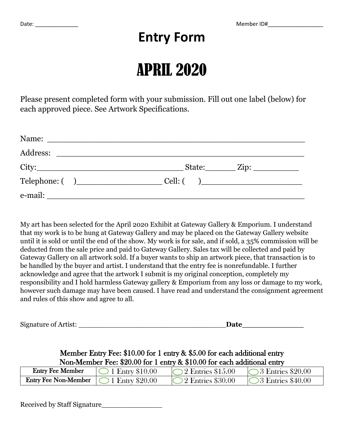## **Entry Form**

## APRIL 2020

Please present completed form with your submission. Fill out one label (below) for each approved piece. See Artwork Specifications.

|                         | $State:$ $Zip:$ $\qquad \qquad$ $\qquad$   |
|-------------------------|--------------------------------------------|
| $\text{Telephone:} ( )$ | $Cell:$ $\begin{array}{ccc} \n\end{array}$ |
|                         |                                            |

My art has been selected for the April 2020 Exhibit at Gateway Gallery & Emporium. I understand that my work is to be hung at Gateway Gallery and may be placed on the Gateway Gallery website until it is sold or until the end of the show. My work is for sale, and if sold, a 35% commission will be deducted from the sale price and paid to Gateway Gallery. Sales tax will be collected and paid by Gateway Gallery on all artwork sold. If a buyer wants to ship an artwork piece, that transaction is to be handled by the buyer and artist. I understand that the entry fee is nonrefundable. I further acknowledge and agree that the artwork I submit is my original conception, completely my responsibility and I hold harmless Gateway gallery & Emporium from any loss or damage to my work, however such damage may have been caused. I have read and understand the consignment agreement and rules of this show and agree to all.

| Signature of Artist: | Date |  |
|----------------------|------|--|
|                      |      |  |

## Member Entry Fee: \$10.00 for 1 entry & \$5.00 for each additional entry Non-Member Fee: \$20.00 for 1 entry & \$10.00 for each additional entry

| <b>Entry Fee Member</b>                            | $\bigcirc$ 1 Entry \$10.00 | $\bigcirc$ 2 Entries \$15.00 | $\bigcirc$ 3 Entries \$20.00 |
|----------------------------------------------------|----------------------------|------------------------------|------------------------------|
| <b>Entry Fee Non-Member</b> $\Box$ 1 Entry \$20.00 |                            | $\bigcirc$ 2 Entries \$30.00 | $\bigcirc$ 8 Entries \$40.00 |

Received by Staff Signature